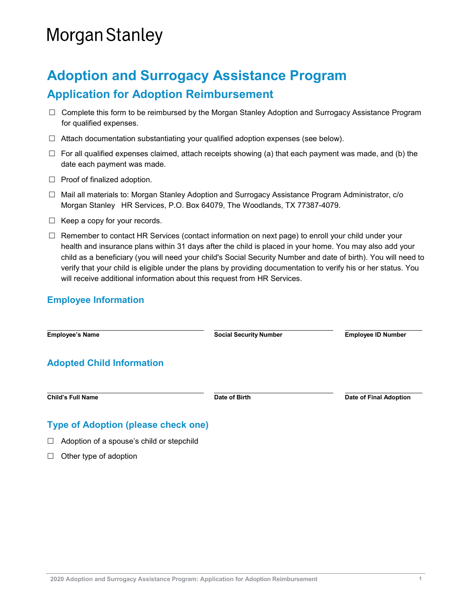# **Morgan Stanley**

## **Adoption and Surrogacy Assistance Program Application for Adoption Reimbursement**

- $\Box$  Complete this form to be reimbursed by the Morgan Stanley Adoption and Surrogacy Assistance Program for qualified expenses.
- $\Box$  Attach documentation substantiating your qualified adoption expenses (see below).
- $\Box$  For all qualified expenses claimed, attach receipts showing (a) that each payment was made, and (b) the date each payment was made.
- $\Box$  Proof of finalized adoption.
- $\Box$  Mail all materials to: Morgan Stanley Adoption and Surrogacy Assistance Program Administrator, c/o Morgan Stanley HR Services, P.O. Box 64079, The Woodlands, TX 77387-4079.
- $\Box$  Keep a copy for your records.
- $\Box$  Remember to contact HR Services (contact information on next page) to enroll your child under your health and insurance plans within 31 days after the child is placed in your home. You may also add your child as a beneficiary (you will need your child's Social Security Number and date of birth). You will need to verify that your child is eligible under the plans by providing documentation to verify his or her status. You will receive additional information about this request from HR Services.

#### **Employee Information**

**Employee's Name Social Security Number Employee ID Number Adopted Child Information Child's Full Name Date of Birth Date of Final Adoption Type of Adoption (please check one)**  $\Box$  Adoption of a spouse's child or stepchild

 $\Box$  Other type of adoption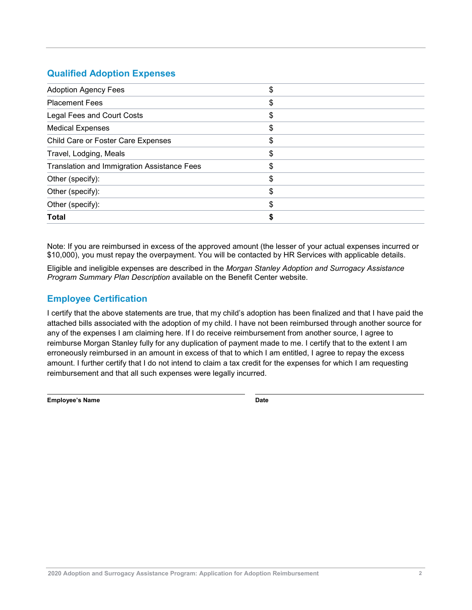#### **Qualified Adoption Expenses**

| \$ |
|----|
| \$ |
| \$ |
| \$ |
| \$ |
| \$ |
| \$ |
| \$ |
| \$ |
| S  |
|    |
|    |

Note: If you are reimbursed in excess of the approved amount (the lesser of your actual expenses incurred or \$10,000), you must repay the overpayment. You will be contacted by HR Services with applicable details.

Eligible and ineligible expenses are described in the *Morgan Stanley Adoption and Surrogacy Assistance Program Summary Plan Description* available on the Benefit Center website.

### **Employee Certification**

I certify that the above statements are true, that my child's adoption has been finalized and that I have paid the attached bills associated with the adoption of my child. I have not been reimbursed through another source for any of the expenses I am claiming here. If I do receive reimbursement from another source, I agree to reimburse Morgan Stanley fully for any duplication of payment made to me. I certify that to the extent I am erroneously reimbursed in an amount in excess of that to which I am entitled, I agree to repay the excess amount. I further certify that I do not intend to claim a tax credit for the expenses for which I am requesting reimbursement and that all such expenses were legally incurred.

**Employee's Name Date**